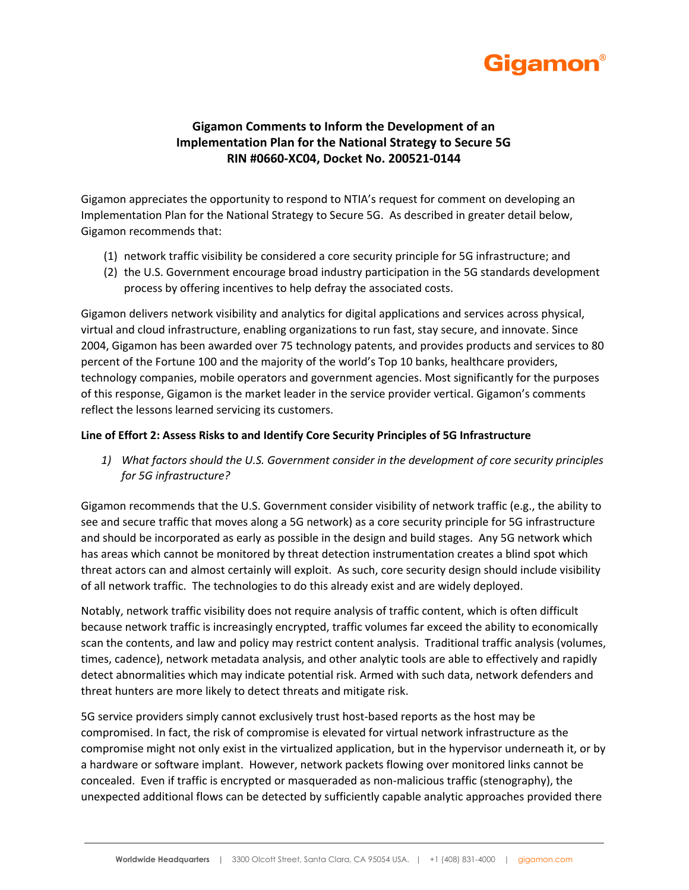

## **Gigamon Comments to Inform the Development of an Implementation Plan for the National Strategy to Secure 5G RIN #0660-XC04, Docket No. 200521-0144**

Gigamon appreciates the opportunity to respond to NTIA's request for comment on developing an Implementation Plan for the National Strategy to Secure 5G. As described in greater detail below, Gigamon recommends that:

- (1) network traffic visibility be considered a core security principle for 5G infrastructure; and
- (2) the U.S. Government encourage broad industry participation in the 5G standards development process by offering incentives to help defray the associated costs.

Gigamon delivers network visibility and analytics for digital applications and services across physical, virtual and cloud infrastructure, enabling organizations to run fast, stay secure, and innovate. Since 2004, Gigamon has been awarded over 75 technology patents, and provides products and services to 80 percent of the Fortune 100 and the majority of the world's Top 10 banks, healthcare providers, technology companies, mobile operators and government agencies. Most significantly for the purposes of this response, Gigamon is the market leader in the service provider vertical. Gigamon's comments reflect the lessons learned servicing its customers.

## **Line of Effort 2: Assess Risks to and Identify Core Security Principles of 5G Infrastructure**

*1) What factors should the U.S. Government consider in the development of core security principles for 5G infrastructure?*

Gigamon recommends that the U.S. Government consider visibility of network traffic (e.g., the ability to see and secure traffic that moves along a 5G network) as a core security principle for 5G infrastructure and should be incorporated as early as possible in the design and build stages. Any 5G network which has areas which cannot be monitored by threat detection instrumentation creates a blind spot which threat actors can and almost certainly will exploit. As such, core security design should include visibility of all network traffic. The technologies to do this already exist and are widely deployed.

Notably, network traffic visibility does not require analysis of traffic content, which is often difficult because network traffic is increasingly encrypted, traffic volumes far exceed the ability to economically scan the contents, and law and policy may restrict content analysis. Traditional traffic analysis (volumes, times, cadence), network metadata analysis, and other analytic tools are able to effectively and rapidly detect abnormalities which may indicate potential risk. Armed with such data, network defenders and threat hunters are more likely to detect threats and mitigate risk.

5G service providers simply cannot exclusively trust host-based reports as the host may be compromised. In fact, the risk of compromise is elevated for virtual network infrastructure as the compromise might not only exist in the virtualized application, but in the hypervisor underneath it, or by a hardware or software implant. However, network packets flowing over monitored links cannot be concealed. Even if traffic is encrypted or masqueraded as non-malicious traffic (stenography), the unexpected additional flows can be detected by sufficiently capable analytic approaches provided there